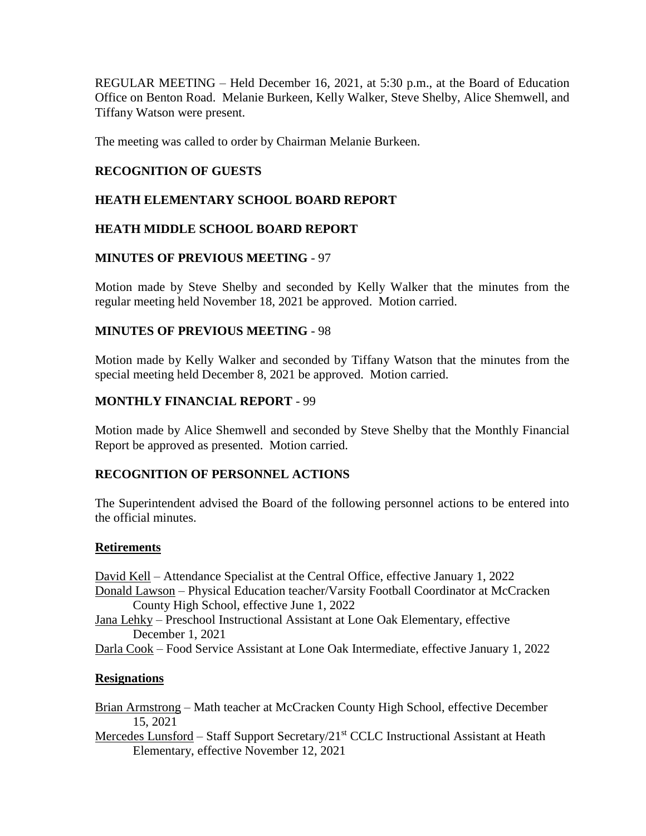REGULAR MEETING – Held December 16, 2021, at 5:30 p.m., at the Board of Education Office on Benton Road. Melanie Burkeen, Kelly Walker, Steve Shelby, Alice Shemwell, and Tiffany Watson were present.

The meeting was called to order by Chairman Melanie Burkeen.

### **RECOGNITION OF GUESTS**

### **HEATH ELEMENTARY SCHOOL BOARD REPORT**

### **HEATH MIDDLE SCHOOL BOARD REPORT**

#### **MINUTES OF PREVIOUS MEETING** - 97

Motion made by Steve Shelby and seconded by Kelly Walker that the minutes from the regular meeting held November 18, 2021 be approved. Motion carried.

#### **MINUTES OF PREVIOUS MEETING** - 98

Motion made by Kelly Walker and seconded by Tiffany Watson that the minutes from the special meeting held December 8, 2021 be approved. Motion carried.

### **MONTHLY FINANCIAL REPORT** - 99

Motion made by Alice Shemwell and seconded by Steve Shelby that the Monthly Financial Report be approved as presented. Motion carried.

#### **RECOGNITION OF PERSONNEL ACTIONS**

The Superintendent advised the Board of the following personnel actions to be entered into the official minutes.

#### **Retirements**

David Kell – Attendance Specialist at the Central Office, effective January 1, 2022 Donald Lawson – Physical Education teacher/Varsity Football Coordinator at McCracken County High School, effective June 1, 2022 Jana Lehky – Preschool Instructional Assistant at Lone Oak Elementary, effective December 1, 2021 Darla Cook – Food Service Assistant at Lone Oak Intermediate, effective January 1, 2022

#### **Resignations**

Brian Armstrong – Math teacher at McCracken County High School, effective December 15, 2021

Mercedes Lunsford – Staff Support Secretary/21<sup>st</sup> CCLC Instructional Assistant at Heath Elementary, effective November 12, 2021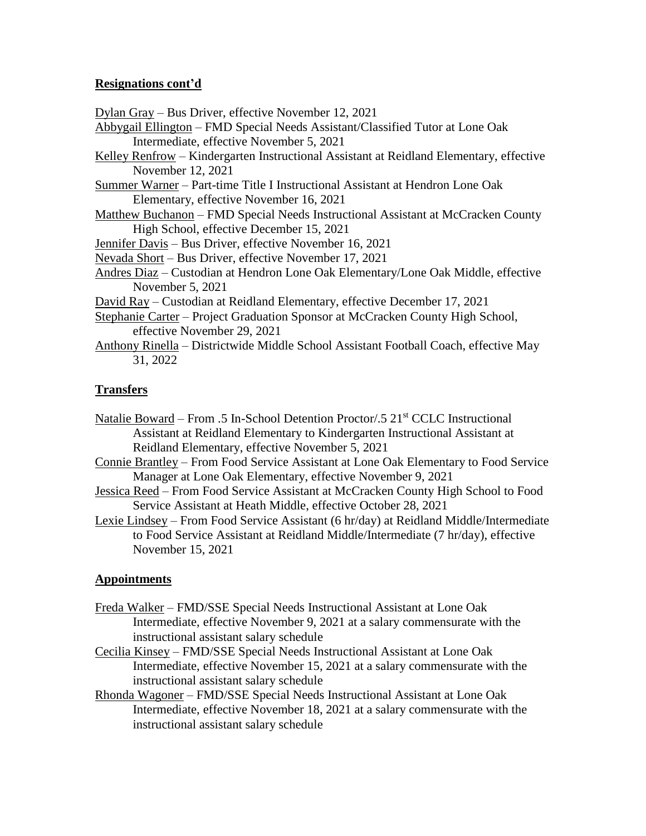### **Resignations cont'd**

Dylan Gray – Bus Driver, effective November 12, 2021

- Abbygail Ellington FMD Special Needs Assistant/Classified Tutor at Lone Oak Intermediate, effective November 5, 2021
- Kelley Renfrow Kindergarten Instructional Assistant at Reidland Elementary, effective November 12, 2021
- Summer Warner Part-time Title I Instructional Assistant at Hendron Lone Oak Elementary, effective November 16, 2021
- Matthew Buchanon FMD Special Needs Instructional Assistant at McCracken County High School, effective December 15, 2021

Jennifer Davis – Bus Driver, effective November 16, 2021

- Nevada Short Bus Driver, effective November 17, 2021
- Andres Diaz Custodian at Hendron Lone Oak Elementary/Lone Oak Middle, effective November 5, 2021
- David Ray Custodian at Reidland Elementary, effective December 17, 2021
- Stephanie Carter Project Graduation Sponsor at McCracken County High School, effective November 29, 2021
- Anthony Rinella Districtwide Middle School Assistant Football Coach, effective May 31, 2022

### **Transfers**

- Natalie Boward From .5 In-School Detention Proctor/.5 21<sup>st</sup> CCLC Instructional Assistant at Reidland Elementary to Kindergarten Instructional Assistant at Reidland Elementary, effective November 5, 2021
- Connie Brantley From Food Service Assistant at Lone Oak Elementary to Food Service Manager at Lone Oak Elementary, effective November 9, 2021
- Jessica Reed From Food Service Assistant at McCracken County High School to Food Service Assistant at Heath Middle, effective October 28, 2021
- Lexie Lindsey From Food Service Assistant (6 hr/day) at Reidland Middle/Intermediate to Food Service Assistant at Reidland Middle/Intermediate (7 hr/day), effective November 15, 2021

#### **Appointments**

- Freda Walker FMD/SSE Special Needs Instructional Assistant at Lone Oak Intermediate, effective November 9, 2021 at a salary commensurate with the instructional assistant salary schedule
- Cecilia Kinsey FMD/SSE Special Needs Instructional Assistant at Lone Oak Intermediate, effective November 15, 2021 at a salary commensurate with the instructional assistant salary schedule
- Rhonda Wagoner FMD/SSE Special Needs Instructional Assistant at Lone Oak Intermediate, effective November 18, 2021 at a salary commensurate with the instructional assistant salary schedule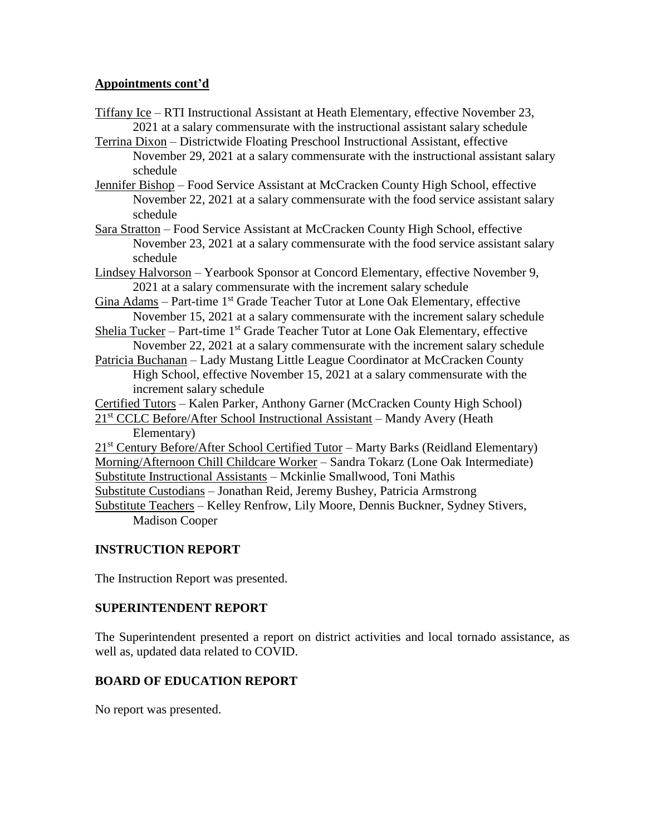### **Appointments cont'd**

- Tiffany Ice RTI Instructional Assistant at Heath Elementary, effective November 23, 2021 at a salary commensurate with the instructional assistant salary schedule
- Terrina Dixon Districtwide Floating Preschool Instructional Assistant, effective November 29, 2021 at a salary commensurate with the instructional assistant salary schedule
- Jennifer Bishop Food Service Assistant at McCracken County High School, effective November 22, 2021 at a salary commensurate with the food service assistant salary schedule
- Sara Stratton Food Service Assistant at McCracken County High School, effective November 23, 2021 at a salary commensurate with the food service assistant salary schedule
- Lindsey Halvorson Yearbook Sponsor at Concord Elementary, effective November 9, 2021 at a salary commensurate with the increment salary schedule
- Gina Adams Part-time 1<sup>st</sup> Grade Teacher Tutor at Lone Oak Elementary, effective November 15, 2021 at a salary commensurate with the increment salary schedule
- Shelia Tucker Part-time  $1<sup>st</sup>$  Grade Teacher Tutor at Lone Oak Elementary, effective November 22, 2021 at a salary commensurate with the increment salary schedule
- Patricia Buchanan Lady Mustang Little League Coordinator at McCracken County High School, effective November 15, 2021 at a salary commensurate with the increment salary schedule

Certified Tutors – Kalen Parker, Anthony Garner (McCracken County High School)

21<sup>st</sup> CCLC Before/After School Instructional Assistant – Mandy Avery (Heath Elementary)

21<sup>st</sup> Century Before/After School Certified Tutor – Marty Barks (Reidland Elementary) Morning/Afternoon Chill Childcare Worker – Sandra Tokarz (Lone Oak Intermediate) Substitute Instructional Assistants – Mckinlie Smallwood, Toni Mathis Substitute Custodians – Jonathan Reid, Jeremy Bushey, Patricia Armstrong Substitute Teachers – Kelley Renfrow, Lily Moore, Dennis Buckner, Sydney Stivers,

Madison Cooper

### **INSTRUCTION REPORT**

The Instruction Report was presented.

### **SUPERINTENDENT REPORT**

The Superintendent presented a report on district activities and local tornado assistance, as well as, updated data related to COVID.

### **BOARD OF EDUCATION REPORT**

No report was presented.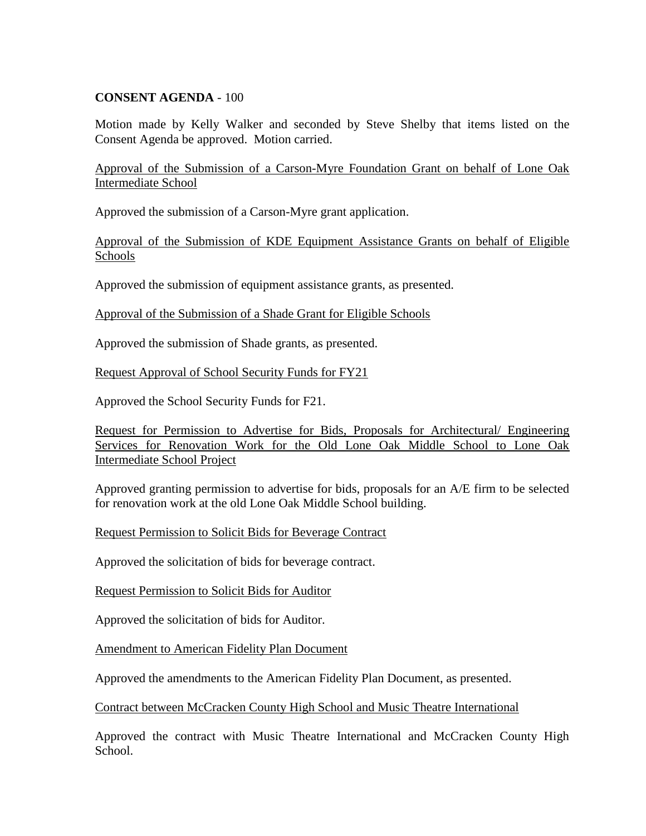### **CONSENT AGENDA** - 100

Motion made by Kelly Walker and seconded by Steve Shelby that items listed on the Consent Agenda be approved. Motion carried.

Approval of the Submission of a Carson-Myre Foundation Grant on behalf of Lone Oak Intermediate School

Approved the submission of a Carson-Myre grant application.

Approval of the Submission of KDE Equipment Assistance Grants on behalf of Eligible Schools

Approved the submission of equipment assistance grants, as presented.

Approval of the Submission of a Shade Grant for Eligible Schools

Approved the submission of Shade grants, as presented.

Request Approval of School Security Funds for FY21

Approved the School Security Funds for F21.

Request for Permission to Advertise for Bids, Proposals for Architectural/ Engineering Services for Renovation Work for the Old Lone Oak Middle School to Lone Oak Intermediate School Project

Approved granting permission to advertise for bids, proposals for an A/E firm to be selected for renovation work at the old Lone Oak Middle School building.

Request Permission to Solicit Bids for Beverage Contract

Approved the solicitation of bids for beverage contract.

Request Permission to Solicit Bids for Auditor

Approved the solicitation of bids for Auditor.

Amendment to American Fidelity Plan Document

Approved the amendments to the American Fidelity Plan Document, as presented.

Contract between McCracken County High School and Music Theatre International

Approved the contract with Music Theatre International and McCracken County High School.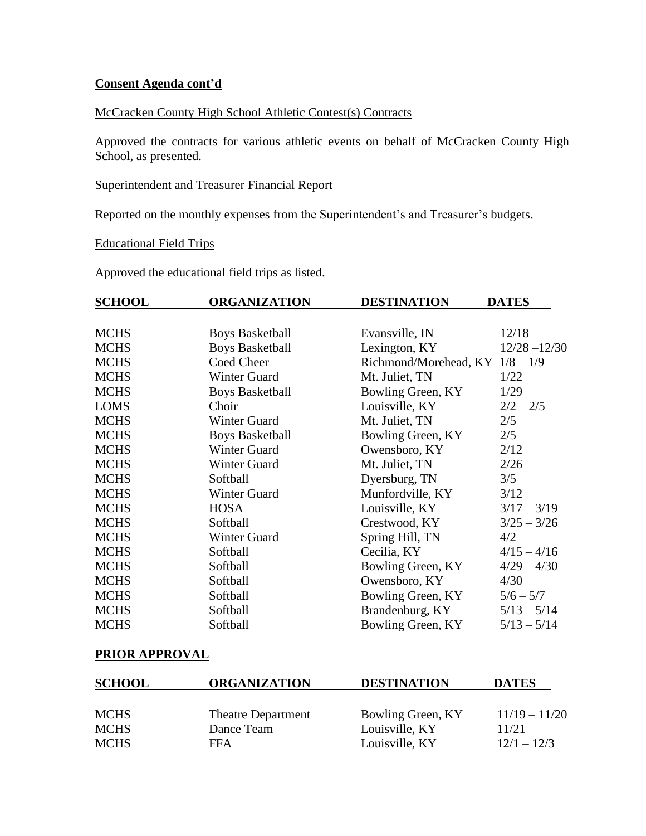### **Consent Agenda cont'd**

### McCracken County High School Athletic Contest(s) Contracts

Approved the contracts for various athletic events on behalf of McCracken County High School, as presented.

#### Superintendent and Treasurer Financial Report

Reported on the monthly expenses from the Superintendent's and Treasurer's budgets.

# Educational Field Trips

Approved the educational field trips as listed.

| <b>SCHOOL</b> | <b>ORGANIZATION</b>    | <b>DESTINATION</b>                | <b>DATES</b>    |
|---------------|------------------------|-----------------------------------|-----------------|
|               |                        |                                   |                 |
| <b>MCHS</b>   | <b>Boys Basketball</b> | Evansville, IN                    | 12/18           |
| <b>MCHS</b>   | <b>Boys Basketball</b> | Lexington, KY                     | $12/28 - 12/30$ |
| <b>MCHS</b>   | Coed Cheer             | Richmond/Morehead, KY $1/8 - 1/9$ |                 |
| <b>MCHS</b>   | <b>Winter Guard</b>    | Mt. Juliet, TN                    | 1/22            |
| <b>MCHS</b>   | <b>Boys Basketball</b> | Bowling Green, KY                 | 1/29            |
| <b>LOMS</b>   | Choir                  | Louisville, KY                    | $2/2 - 2/5$     |
| <b>MCHS</b>   | Winter Guard           | Mt. Juliet, TN                    | 2/5             |
| <b>MCHS</b>   | <b>Boys Basketball</b> | Bowling Green, KY                 | 2/5             |
| <b>MCHS</b>   | Winter Guard           | Owensboro, KY                     | 2/12            |
| <b>MCHS</b>   | <b>Winter Guard</b>    | Mt. Juliet, TN                    | 2/26            |
| <b>MCHS</b>   | Softball               | Dyersburg, TN                     | 3/5             |
| <b>MCHS</b>   | Winter Guard           | Munfordville, KY                  | 3/12            |
| <b>MCHS</b>   | <b>HOSA</b>            | Louisville, KY                    | $3/17 - 3/19$   |
| <b>MCHS</b>   | Softball               | Crestwood, KY                     | $3/25 - 3/26$   |
| <b>MCHS</b>   | Winter Guard           | Spring Hill, TN                   | 4/2             |
| <b>MCHS</b>   | Softball               | Cecilia, KY                       | $4/15 - 4/16$   |
| <b>MCHS</b>   | Softball               | Bowling Green, KY                 | $4/29 - 4/30$   |
| <b>MCHS</b>   | Softball               | Owensboro, KY                     | 4/30            |
| <b>MCHS</b>   | Softball               | Bowling Green, KY                 | $5/6 - 5/7$     |
| <b>MCHS</b>   | Softball               | Brandenburg, KY                   | $5/13 - 5/14$   |
| <b>MCHS</b>   | Softball               | Bowling Green, KY                 | $5/13 - 5/14$   |

## **PRIOR APPROVAL**

| <b>ORGANIZATION</b>       | <b>DESTINATION</b> | <b>DATES</b>    |
|---------------------------|--------------------|-----------------|
|                           |                    |                 |
| <b>Theatre Department</b> | Bowling Green, KY  | $11/19 - 11/20$ |
| Dance Team                | Louisville, KY     | 11/21           |
| FFA                       | Louisville, KY     | $12/1 - 12/3$   |
|                           |                    |                 |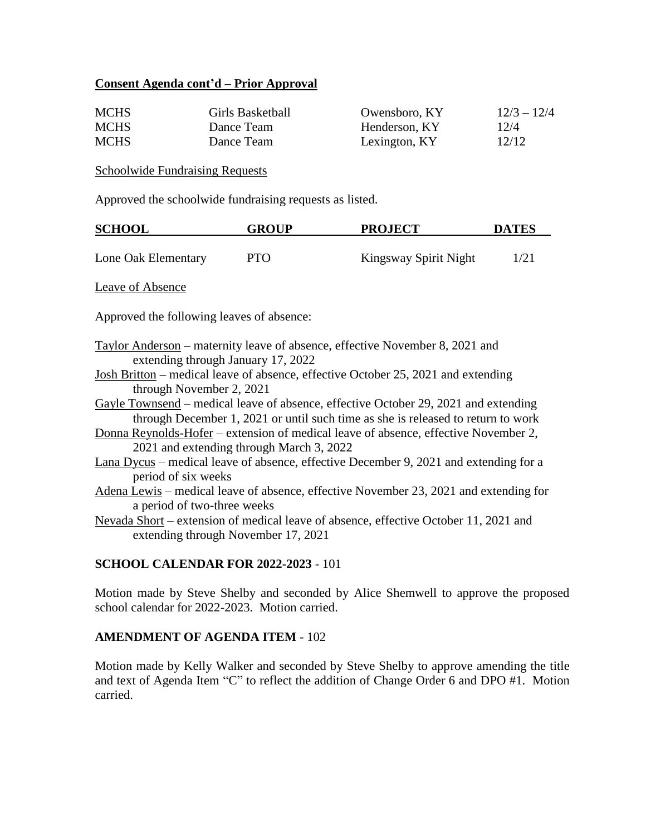### **Consent Agenda cont'd – Prior Approval**

| <b>MCHS</b> | Girls Basketball | Owensboro, KY | $12/3 - 12/4$ |
|-------------|------------------|---------------|---------------|
| <b>MCHS</b> | Dance Team       | Henderson, KY | 12/4          |
| <b>MCHS</b> | Dance Team       | Lexington, KY | 12/12         |

#### Schoolwide Fundraising Requests

Approved the schoolwide fundraising requests as listed.

| <b>SCHOOL</b>       | <b>GROUP</b> | <b>PROJECT</b>        | <b>DATES</b> |
|---------------------|--------------|-----------------------|--------------|
|                     |              |                       |              |
| Lone Oak Elementary | <b>PTO</b>   | Kingsway Spirit Night | 1/21         |

Leave of Absence

Approved the following leaves of absence:

- Taylor Anderson maternity leave of absence, effective November 8, 2021 and extending through January 17, 2022
- Josh Britton medical leave of absence, effective October 25, 2021 and extending through November 2, 2021
- Gayle Townsend medical leave of absence, effective October 29, 2021 and extending through December 1, 2021 or until such time as she is released to return to work
- Donna Reynolds-Hofer extension of medical leave of absence, effective November 2, 2021 and extending through March 3, 2022
- Lana Dycus medical leave of absence, effective December 9, 2021 and extending for a period of six weeks
- Adena Lewis medical leave of absence, effective November 23, 2021 and extending for a period of two-three weeks

Nevada Short – extension of medical leave of absence, effective October 11, 2021 and extending through November 17, 2021

#### **SCHOOL CALENDAR FOR 2022-2023** - 101

Motion made by Steve Shelby and seconded by Alice Shemwell to approve the proposed school calendar for 2022-2023. Motion carried.

#### **AMENDMENT OF AGENDA ITEM** - 102

Motion made by Kelly Walker and seconded by Steve Shelby to approve amending the title and text of Agenda Item "C" to reflect the addition of Change Order 6 and DPO #1. Motion carried.